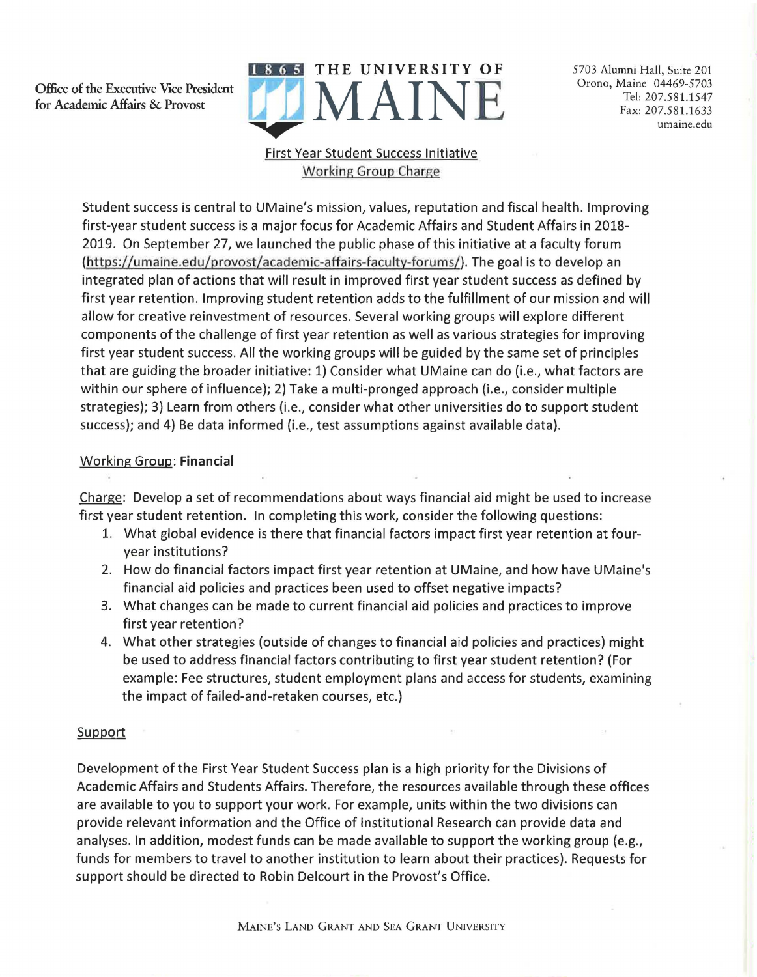**Office** of **the Executive** Vice **President**  for **Academic Affairs** & **Provost** 



5703 Alumni Hall, Suite 201 Orono, Maine 04469-5703 Tel: 207.581.1547 Fax: 207.581.1633 umaine.edu

## First Year Student Success Initiative Working Group Charge

Student success is central to UMaine's mission, values, reputation and fiscal health. Improving first-year student success is a major focus for Academic Affairs and Student Affairs in 2018- 2019. On September 27, we launched the public phase of this initiative at a faculty forum (https://umaine.edu/provost/academic-affairs-faculty-forums/). The goal is to develop an integrated plan of actions that will result in improved first year student success as defined by first year retention. Improving student retention adds to the fulfillment of our mission and will allow for creative reinvestment of resources. Several working groups will explore different components of the challenge of first year retention as well as various strategies for improving first year student success. All the working groups will be guided by the same set of principles that are guiding the broader initiative: 1) Consider what UMaine can do (i.e., what factors are within our sphere of influence); 2) Take a multi-pronged approach (i.e., consider multiple strategies); 3) Learn from others (i.e., consider what other universities do to support student success); and 4) Be data informed (i.e., test assumptions against available data).

## Working Group: **Financial**

Charge: Develop a set of recommendations about ways financial aid might be used to increase first year student retention. In completing this work, consider the following questions:

- 1. What global evidence is there that financial factors impact first year retention at fouryear institutions?
- 2. How do financial factors impact first year retention at UMaine, and how have UMaine's financial aid policies and practices been used to offset negative impacts?
- 3. What changes can be made to current financial aid policies and practices to improve first year retention?
- 4. What other strategies (outside of changes to financial aid policies and practices) might be used to address financial factors contributing to first year student retention? (For example: Fee structures, student employment plans and access for students, examining the impact of failed-and-retaken courses, etc.)

## **Support**

Development of the First Year Student Success plan is a high priority for the Divisions of Academic Affairs and Students Affairs. Therefore, the resources available through these offices are available to you to support your work. For example, units within the two divisions can provide relevant information and the Office of Institutional Research can provide data and analyses. In addition, modest funds can be made available to support the working group (e.g., funds for members to travel to another institution to learn about their practices). Requests for support should be directed to Robin Delcourt in the Provost's Office.